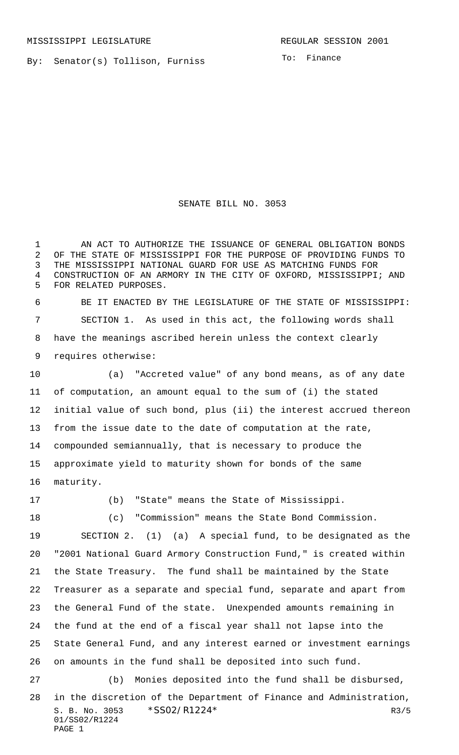By: Senator(s) Tollison, Furniss

To: Finance

## SENATE BILL NO. 3053

1 AN ACT TO AUTHORIZE THE ISSUANCE OF GENERAL OBLIGATION BONDS OF THE STATE OF MISSISSIPPI FOR THE PURPOSE OF PROVIDING FUNDS TO THE MISSISSIPPI NATIONAL GUARD FOR USE AS MATCHING FUNDS FOR CONSTRUCTION OF AN ARMORY IN THE CITY OF OXFORD, MISSISSIPPI; AND FOR RELATED PURPOSES.

 BE IT ENACTED BY THE LEGISLATURE OF THE STATE OF MISSISSIPPI: SECTION 1. As used in this act, the following words shall have the meanings ascribed herein unless the context clearly requires otherwise:

 (a) "Accreted value" of any bond means, as of any date of computation, an amount equal to the sum of (i) the stated initial value of such bond, plus (ii) the interest accrued thereon from the issue date to the date of computation at the rate, compounded semiannually, that is necessary to produce the approximate yield to maturity shown for bonds of the same maturity.

(b) "State" means the State of Mississippi.

(c) "Commission" means the State Bond Commission.

 SECTION 2. (1) (a) A special fund, to be designated as the "2001 National Guard Armory Construction Fund," is created within the State Treasury. The fund shall be maintained by the State Treasurer as a separate and special fund, separate and apart from the General Fund of the state. Unexpended amounts remaining in the fund at the end of a fiscal year shall not lapse into the State General Fund, and any interest earned or investment earnings on amounts in the fund shall be deposited into such fund.

S. B. No. 3053 \* SSO2/R1224 \* R3/5 01/SS02/R1224 PAGE 1 (b) Monies deposited into the fund shall be disbursed, in the discretion of the Department of Finance and Administration,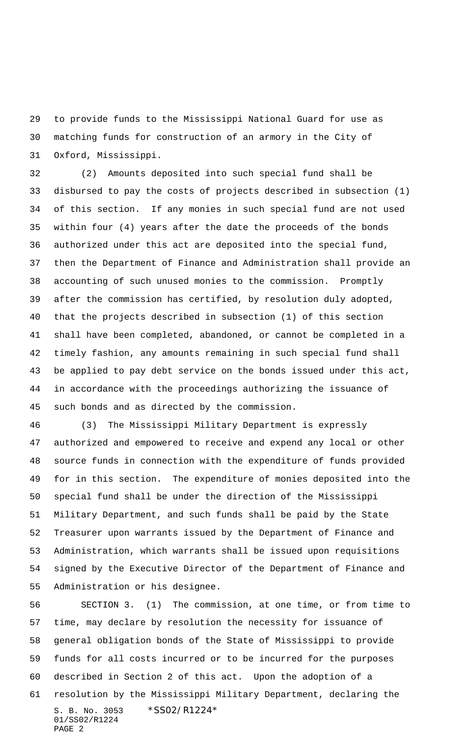to provide funds to the Mississippi National Guard for use as matching funds for construction of an armory in the City of Oxford, Mississippi.

 (2) Amounts deposited into such special fund shall be disbursed to pay the costs of projects described in subsection (1) of this section. If any monies in such special fund are not used within four (4) years after the date the proceeds of the bonds authorized under this act are deposited into the special fund, then the Department of Finance and Administration shall provide an accounting of such unused monies to the commission. Promptly after the commission has certified, by resolution duly adopted, that the projects described in subsection (1) of this section shall have been completed, abandoned, or cannot be completed in a timely fashion, any amounts remaining in such special fund shall be applied to pay debt service on the bonds issued under this act, in accordance with the proceedings authorizing the issuance of such bonds and as directed by the commission.

 (3) The Mississippi Military Department is expressly authorized and empowered to receive and expend any local or other source funds in connection with the expenditure of funds provided for in this section. The expenditure of monies deposited into the special fund shall be under the direction of the Mississippi Military Department, and such funds shall be paid by the State Treasurer upon warrants issued by the Department of Finance and Administration, which warrants shall be issued upon requisitions signed by the Executive Director of the Department of Finance and Administration or his designee.

S. B. No. 3053 \*SS02/R1224\* 01/SS02/R1224 PAGE 2 SECTION 3. (1) The commission, at one time, or from time to time, may declare by resolution the necessity for issuance of general obligation bonds of the State of Mississippi to provide funds for all costs incurred or to be incurred for the purposes described in Section 2 of this act. Upon the adoption of a resolution by the Mississippi Military Department, declaring the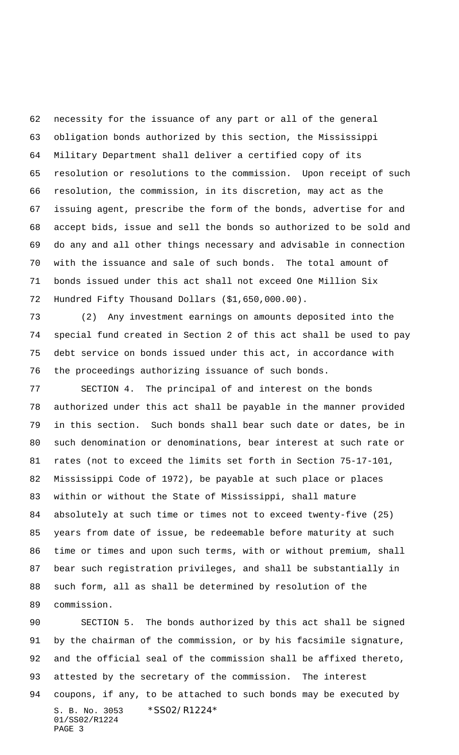necessity for the issuance of any part or all of the general obligation bonds authorized by this section, the Mississippi Military Department shall deliver a certified copy of its resolution or resolutions to the commission. Upon receipt of such resolution, the commission, in its discretion, may act as the issuing agent, prescribe the form of the bonds, advertise for and accept bids, issue and sell the bonds so authorized to be sold and do any and all other things necessary and advisable in connection with the issuance and sale of such bonds. The total amount of bonds issued under this act shall not exceed One Million Six Hundred Fifty Thousand Dollars (\$1,650,000.00).

 (2) Any investment earnings on amounts deposited into the special fund created in Section 2 of this act shall be used to pay debt service on bonds issued under this act, in accordance with the proceedings authorizing issuance of such bonds.

 SECTION 4. The principal of and interest on the bonds authorized under this act shall be payable in the manner provided in this section. Such bonds shall bear such date or dates, be in such denomination or denominations, bear interest at such rate or rates (not to exceed the limits set forth in Section 75-17-101, Mississippi Code of 1972), be payable at such place or places within or without the State of Mississippi, shall mature absolutely at such time or times not to exceed twenty-five (25) years from date of issue, be redeemable before maturity at such time or times and upon such terms, with or without premium, shall bear such registration privileges, and shall be substantially in such form, all as shall be determined by resolution of the commission.

S. B. No. 3053 \*SS02/R1224\* SECTION 5. The bonds authorized by this act shall be signed by the chairman of the commission, or by his facsimile signature, and the official seal of the commission shall be affixed thereto, attested by the secretary of the commission. The interest coupons, if any, to be attached to such bonds may be executed by

01/SS02/R1224 PAGE 3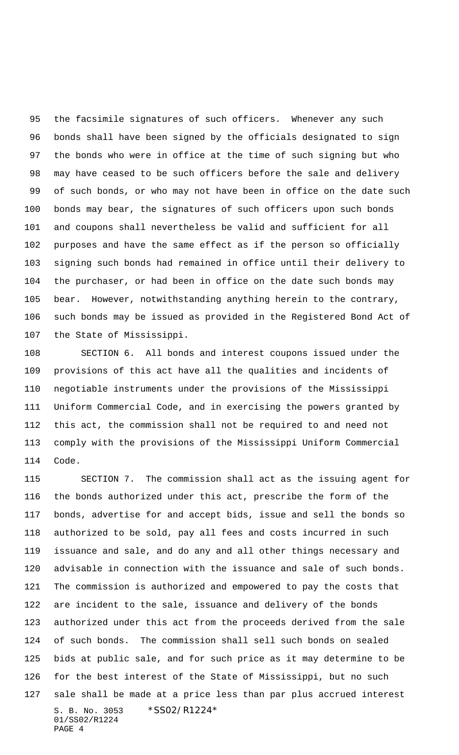the facsimile signatures of such officers. Whenever any such bonds shall have been signed by the officials designated to sign the bonds who were in office at the time of such signing but who may have ceased to be such officers before the sale and delivery of such bonds, or who may not have been in office on the date such bonds may bear, the signatures of such officers upon such bonds and coupons shall nevertheless be valid and sufficient for all purposes and have the same effect as if the person so officially signing such bonds had remained in office until their delivery to the purchaser, or had been in office on the date such bonds may bear. However, notwithstanding anything herein to the contrary, such bonds may be issued as provided in the Registered Bond Act of the State of Mississippi.

 SECTION 6. All bonds and interest coupons issued under the provisions of this act have all the qualities and incidents of negotiable instruments under the provisions of the Mississippi Uniform Commercial Code, and in exercising the powers granted by this act, the commission shall not be required to and need not comply with the provisions of the Mississippi Uniform Commercial Code.

S. B. No. 3053 \*SS02/R1224\* 01/SS02/R1224 PAGE 4 SECTION 7. The commission shall act as the issuing agent for the bonds authorized under this act, prescribe the form of the bonds, advertise for and accept bids, issue and sell the bonds so authorized to be sold, pay all fees and costs incurred in such issuance and sale, and do any and all other things necessary and advisable in connection with the issuance and sale of such bonds. The commission is authorized and empowered to pay the costs that are incident to the sale, issuance and delivery of the bonds authorized under this act from the proceeds derived from the sale of such bonds. The commission shall sell such bonds on sealed bids at public sale, and for such price as it may determine to be for the best interest of the State of Mississippi, but no such sale shall be made at a price less than par plus accrued interest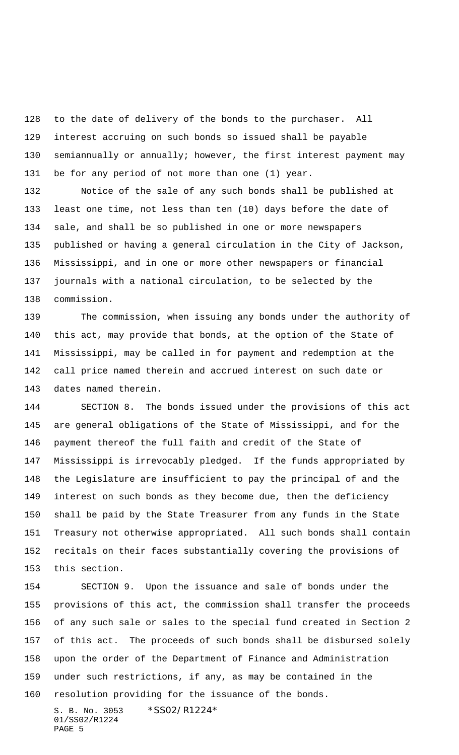to the date of delivery of the bonds to the purchaser. All interest accruing on such bonds so issued shall be payable semiannually or annually; however, the first interest payment may be for any period of not more than one (1) year.

 Notice of the sale of any such bonds shall be published at least one time, not less than ten (10) days before the date of sale, and shall be so published in one or more newspapers published or having a general circulation in the City of Jackson, Mississippi, and in one or more other newspapers or financial journals with a national circulation, to be selected by the commission.

 The commission, when issuing any bonds under the authority of this act, may provide that bonds, at the option of the State of Mississippi, may be called in for payment and redemption at the call price named therein and accrued interest on such date or dates named therein.

 SECTION 8. The bonds issued under the provisions of this act are general obligations of the State of Mississippi, and for the payment thereof the full faith and credit of the State of Mississippi is irrevocably pledged. If the funds appropriated by the Legislature are insufficient to pay the principal of and the interest on such bonds as they become due, then the deficiency shall be paid by the State Treasurer from any funds in the State Treasury not otherwise appropriated. All such bonds shall contain recitals on their faces substantially covering the provisions of this section.

 SECTION 9. Upon the issuance and sale of bonds under the provisions of this act, the commission shall transfer the proceeds of any such sale or sales to the special fund created in Section 2 of this act. The proceeds of such bonds shall be disbursed solely upon the order of the Department of Finance and Administration under such restrictions, if any, as may be contained in the resolution providing for the issuance of the bonds.

S. B. No. 3053 \*SS02/R1224\* 01/SS02/R1224 PAGE 5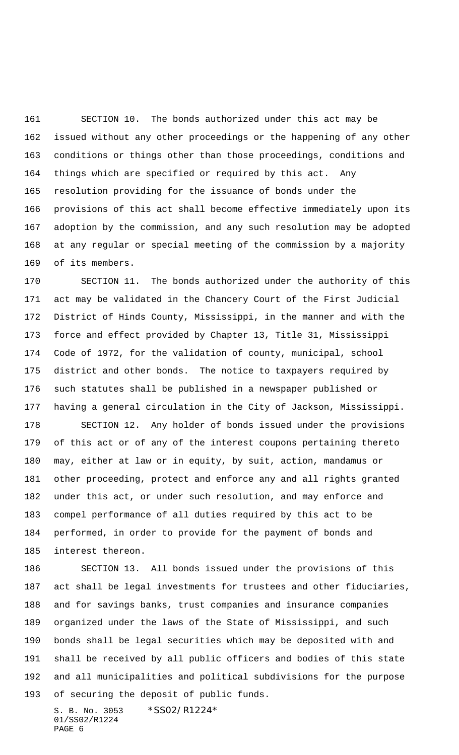SECTION 10. The bonds authorized under this act may be issued without any other proceedings or the happening of any other conditions or things other than those proceedings, conditions and things which are specified or required by this act. Any resolution providing for the issuance of bonds under the provisions of this act shall become effective immediately upon its adoption by the commission, and any such resolution may be adopted at any regular or special meeting of the commission by a majority of its members.

 SECTION 11. The bonds authorized under the authority of this act may be validated in the Chancery Court of the First Judicial District of Hinds County, Mississippi, in the manner and with the force and effect provided by Chapter 13, Title 31, Mississippi Code of 1972, for the validation of county, municipal, school district and other bonds. The notice to taxpayers required by such statutes shall be published in a newspaper published or having a general circulation in the City of Jackson, Mississippi.

 SECTION 12. Any holder of bonds issued under the provisions of this act or of any of the interest coupons pertaining thereto may, either at law or in equity, by suit, action, mandamus or other proceeding, protect and enforce any and all rights granted under this act, or under such resolution, and may enforce and compel performance of all duties required by this act to be performed, in order to provide for the payment of bonds and interest thereon.

 SECTION 13. All bonds issued under the provisions of this act shall be legal investments for trustees and other fiduciaries, and for savings banks, trust companies and insurance companies organized under the laws of the State of Mississippi, and such bonds shall be legal securities which may be deposited with and shall be received by all public officers and bodies of this state and all municipalities and political subdivisions for the purpose of securing the deposit of public funds.

S. B. No. 3053 \*SS02/R1224\* 01/SS02/R1224 PAGE 6